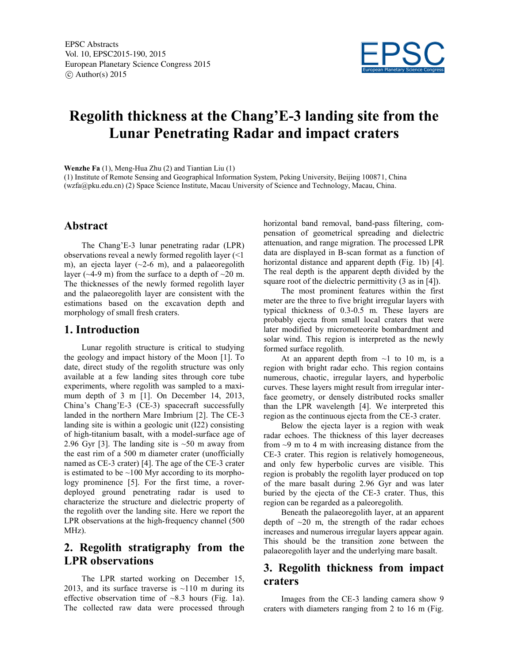

# **Regolith thickness at the Chang'E-3 landing site from the Lunar Penetrating Radar and impact craters**

**Wenzhe Fa** (1), Meng-Hua Zhu (2) and Tiantian Liu (1)

(1) Institute of Remote Sensing and Geographical Information System, Peking University, Beijing 100871, China (wzfa@pku.edu.cn) (2) Space Science Institute, Macau University of Science and Technology, Macau, China.

### **Abstract**

The Chang'E-3 lunar penetrating radar (LPR) observations reveal a newly formed regolith layer (<1 m), an ejecta layer  $(\sim 2-6$  m), and a palaeoregolith layer ( $\sim$ 4-9 m) from the surface to a depth of  $\sim$ 20 m. The thicknesses of the newly formed regolith layer and the palaeoregolith layer are consistent with the estimations based on the excavation depth and morphology of small fresh craters.

#### **1. Introduction**

Lunar regolith structure is critical to studying the geology and impact history of the Moon [1]. To date, direct study of the regolith structure was only available at a few landing sites through core tube experiments, where regolith was sampled to a maximum depth of 3 m [1]. On December 14, 2013, China's Chang'E-3 (CE-3) spacecraft successfully landed in the northern Mare Imbrium [2]. The CE-3 landing site is within a geologic unit (I22) consisting of high-titanium basalt, with a model-surface age of 2.96 Gyr [3]. The landing site is  $\sim$  50 m away from the east rim of a 500 m diameter crater (unofficially named as CE-3 crater) [4]. The age of the CE-3 crater is estimated to be  $\sim$ 100 Myr according to its morphology prominence [5]. For the first time, a roverdeployed ground penetrating radar is used to characterize the structure and dielectric property of the regolith over the landing site. Here we report the LPR observations at the high-frequency channel (500 MHz).

## **2. Regolith stratigraphy from the LPR observations**

The LPR started working on December 15, 2013, and its surface traverse is  $\sim$ 110 m during its effective observation time of  $\sim 8.3$  hours (Fig. 1a). The collected raw data were processed through horizontal band removal, band-pass filtering, compensation of geometrical spreading and dielectric attenuation, and range migration. The processed LPR data are displayed in B-scan format as a function of horizontal distance and apparent depth (Fig. 1b) [4]. The real depth is the apparent depth divided by the square root of the dielectric permittivity (3 as in [4]).

The most prominent features within the first meter are the three to five bright irregular layers with typical thickness of 0.3-0.5 m. These layers are probably ejecta from small local craters that were later modified by micrometeorite bombardment and solar wind. This region is interpreted as the newly formed surface regolith.

At an apparent depth from  $\sim$ 1 to 10 m, is a region with bright radar echo. This region contains numerous, chaotic, irregular layers, and hyperbolic curves. These layers might result from irregular interface geometry, or densely distributed rocks smaller than the LPR wavelength [4]. We interpreted this region as the continuous ejecta from the CE-3 crater.

Below the ejecta layer is a region with weak radar echoes. The thickness of this layer decreases from  $\sim$ 9 m to 4 m with increasing distance from the CE-3 crater. This region is relatively homogeneous, and only few hyperbolic curves are visible. This region is probably the regolith layer produced on top of the mare basalt during 2.96 Gyr and was later buried by the ejecta of the CE-3 crater. Thus, this region can be regarded as a paleoregolith.

Beneath the palaeoregolith layer, at an apparent depth of  $\sim$ 20 m, the strength of the radar echoes increases and numerous irregular layers appear again. This should be the transition zone between the palaeoregolith layer and the underlying mare basalt.

## **3. Regolith thickness from impact craters**

Images from the CE-3 landing camera show 9 craters with diameters ranging from 2 to 16 m (Fig.